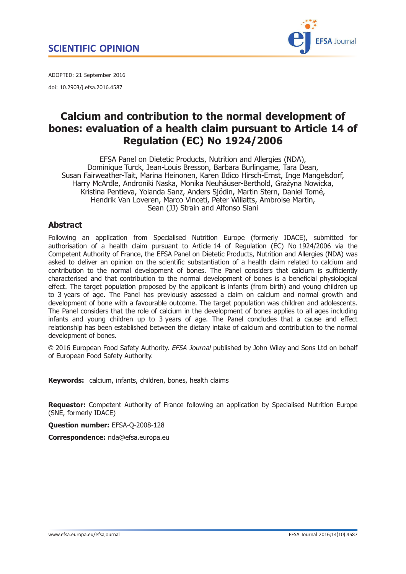

<span id="page-0-0"></span>ADOPTED: 21 September 2016 doi: 10.2903/j.efsa.2016.4587

# Calcium and contribution to the normal development of bones: evaluation of a health claim pursuant to Article 14 of Regulation (EC) No 1924/2006

EFSA Panel on Dietetic Products, Nutrition and Allergies (NDA), Dominique Turck, Jean-Louis Bresson, Barbara Burlingame, Tara Dean, Susan Fairweather-Tait, Marina Heinonen, Karen Ildico Hirsch-Ernst, Inge Mangelsdorf, Harry McArdle, Androniki Naska, Monika Neuhäuser-Berthold, Grażyna Nowicka, Kristina Pentieva, Yolanda Sanz, Anders Sjödin, Martin Stern, Daniel Tomé, Hendrik Van Loveren, Marco Vinceti, Peter Willatts, Ambroise Martin, Sean (JJ) Strain and Alfonso Siani

## Abstract

Following an application from Specialised Nutrition Europe (formerly IDACE), submitted for authorisation of a health claim pursuant to Article 14 of Regulation (EC) No 1924/2006 via the Competent Authority of France, the EFSA Panel on Dietetic Products, Nutrition and Allergies (NDA) was asked to deliver an opinion on the scientific substantiation of a health claim related to calcium and contribution to the normal development of bones. The Panel considers that calcium is sufficiently characterised and that contribution to the normal development of bones is a beneficial physiological effect. The target population proposed by the applicant is infants (from birth) and young children up to 3 years of age. The Panel has previously assessed a claim on calcium and normal growth and development of bone with a favourable outcome. The target population was children and adolescents. The Panel considers that the role of calcium in the development of bones applies to all ages including infants and young children up to 3 years of age. The Panel concludes that a cause and effect relationship has been established between the dietary intake of calcium and contribution to the normal development of bones.

© 2016 European Food Safety Authority. EFSA Journal published by John Wiley and Sons Ltd on behalf of European Food Safety Authority.

Keywords: calcium, infants, children, bones, health claims

**Requestor:** Competent Authority of France following an application by Specialised Nutrition Europe (SNE, formerly IDACE)

Question number: EFSA-Q-2008-128

Correspondence: nda@efsa.europa.eu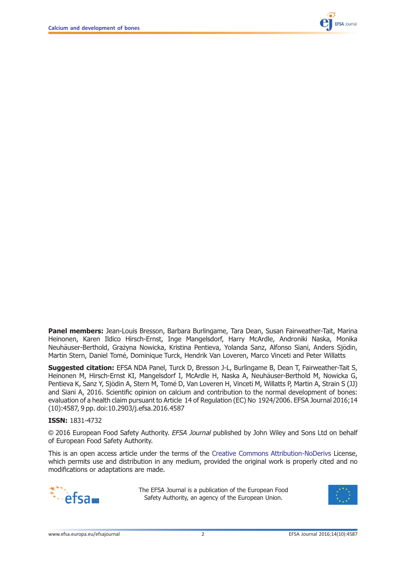

Panel members: Jean-Louis Bresson, Barbara Burlingame, Tara Dean, Susan Fairweather-Tait, Marina Heinonen, Karen Ildico Hirsch-Ernst, Inge Mangelsdorf, Harry McArdle, Androniki Naska, Monika Neuhäuser-Berthold, Grażyna Nowicka, Kristina Pentieva, Yolanda Sanz, Alfonso Siani, Anders Siödin, Martin Stern, Daniel Tomé, Dominique Turck, Hendrik Van Loveren, Marco Vinceti and Peter Willatts

Suggested citation: EFSA NDA Panel, Turck D, Bresson J-L, Burlingame B, Dean T, Fairweather-Tait S, Heinonen M, Hirsch-Ernst KI, Mangelsdorf I, McArdle H, Naska A, Neuhäuser-Berthold M, Nowicka G, Pentieva K, Sanz Y, Sjödin A, Stern M, Tomé D, Van Loveren H, Vinceti M, Willatts P, Martin A, Strain S (JJ) and Siani A, 2016. Scientific opinion on calcium and contribution to the normal development of bones: evaluation of a health claim pursuant to Article 14 of Regulation (EC) No 1924/2006. EFSA Journal 2016;14 (10):4587, 9 pp. doi[:10.2903/j.efsa.2016.4587](http://dx.doi.org/10.2903/j.efsa.2016.4587)

#### ISSN: 1831-4732

© 2016 European Food Safety Authority. EFSA Journal published by John Wiley and Sons Ltd on behalf of European Food Safety Authority.

This is an open access article under the terms of the [Creative Commons Attribution-NoDerivs](http://creativecommons.org/licenses/by-nd/4.0/) License, which permits use and distribution in any medium, provided the original work is properly cited and no modifications or adaptations are made.



The EFSA Journal is a publication of the European Food Safety Authority, an agency of the European Union.

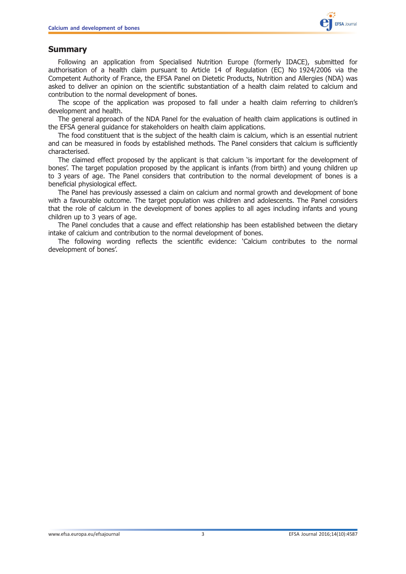

### <span id="page-2-0"></span>Summary

Following an application from Specialised Nutrition Europe (formerly IDACE), submitted for authorisation of a health claim pursuant to Article 14 of Regulation (EC) No 1924/2006 via the Competent Authority of France, the EFSA Panel on Dietetic Products, Nutrition and Allergies (NDA) was asked to deliver an opinion on the scientific substantiation of a health claim related to calcium and contribution to the normal development of bones.

The scope of the application was proposed to fall under a health claim referring to children's development and health.

The general approach of the NDA Panel for the evaluation of health claim applications is outlined in the EFSA general guidance for stakeholders on health claim applications.

The food constituent that is the subject of the health claim is calcium, which is an essential nutrient and can be measured in foods by established methods. The Panel considers that calcium is sufficiently characterised.

The claimed effect proposed by the applicant is that calcium 'is important for the development of bones'. The target population proposed by the applicant is infants (from birth) and young children up to 3 years of age. The Panel considers that contribution to the normal development of bones is a beneficial physiological effect.

The Panel has previously assessed a claim on calcium and normal growth and development of bone with a favourable outcome. The target population was children and adolescents. The Panel considers that the role of calcium in the development of bones applies to all ages including infants and young children up to 3 years of age.

The Panel concludes that a cause and effect relationship has been established between the dietary intake of calcium and contribution to the normal development of bones.

The following wording reflects the scientific evidence: 'Calcium contributes to the normal development of bones'.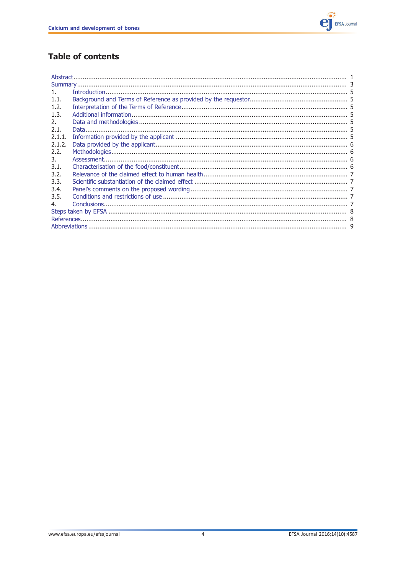

## **Table of contents**

| $1_{-}$ |  |  |
|---------|--|--|
| 1.1.    |  |  |
| 1.2.    |  |  |
| 1.3.    |  |  |
| 2.      |  |  |
| 2.1.    |  |  |
| 2.1.1.  |  |  |
| 2.1.2.  |  |  |
| 2.2.    |  |  |
| 3.      |  |  |
| 3.1.    |  |  |
| 3.2.    |  |  |
| 3.3.    |  |  |
| 3.4.    |  |  |
| 3.5.    |  |  |
| 4.      |  |  |
|         |  |  |
|         |  |  |
|         |  |  |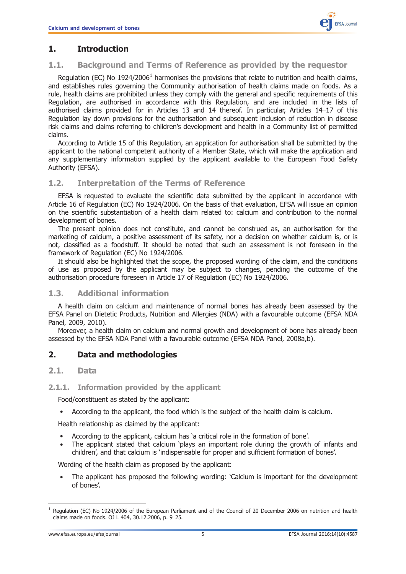## <span id="page-4-0"></span>1. Introduction

#### 1.1. Background and Terms of Reference as provided by the requestor

Requlation (EC) No 1924/2006<sup>1</sup> harmonises the provisions that relate to nutrition and health claims, and establishes rules governing the Community authorisation of health claims made on foods. As a rule, health claims are prohibited unless they comply with the general and specific requirements of this Regulation, are authorised in accordance with this Regulation, and are included in the lists of authorised claims provided for in Articles 13 and 14 thereof. In particular, Articles 14–17 of this Regulation lay down provisions for the authorisation and subsequent inclusion of reduction in disease risk claims and claims referring to children's development and health in a Community list of permitted claims.

According to Article 15 of this Regulation, an application for authorisation shall be submitted by the applicant to the national competent authority of a Member State, which will make the application and any supplementary information supplied by the applicant available to the European Food Safety Authority (EFSA).

#### 1.2. Interpretation of the Terms of Reference

EFSA is requested to evaluate the scientific data submitted by the applicant in accordance with Article 16 of Regulation (EC) No 1924/2006. On the basis of that evaluation, EFSA will issue an opinion on the scientific substantiation of a health claim related to: calcium and contribution to the normal development of bones.

The present opinion does not constitute, and cannot be construed as, an authorisation for the marketing of calcium, a positive assessment of its safety, nor a decision on whether calcium is, or is not, classified as a foodstuff. It should be noted that such an assessment is not foreseen in the framework of Regulation (EC) No 1924/2006.

It should also be highlighted that the scope, the proposed wording of the claim, and the conditions of use as proposed by the applicant may be subject to changes, pending the outcome of the authorisation procedure foreseen in Article 17 of Regulation (EC) No 1924/2006.

#### 1.3. Additional information

A health claim on calcium and maintenance of normal bones has already been assessed by the EFSA Panel on Dietetic Products, Nutrition and Allergies (NDA) with a favourable outcome (EFSA NDA Panel, 2009, 2010).

Moreover, a health claim on calcium and normal growth and development of bone has already been assessed by the EFSA NDA Panel with a favourable outcome (EFSA NDA Panel, 2008a,b).

## 2. Data and methodologies

#### 2.1. Data

#### 2.1.1. Information provided by the applicant

Food/constituent as stated by the applicant:

• According to the applicant, the food which is the subject of the health claim is calcium.

Health relationship as claimed by the applicant:

- According to the applicant, calcium has 'a critical role in the formation of bone'.
- The applicant stated that calcium 'plays an important role during the growth of infants and children', and that calcium is 'indispensable for proper and sufficient formation of bones'.

Wording of the health claim as proposed by the applicant:

• The applicant has proposed the following wording: 'Calcium is important for the development of bones'.

 $1$  Regulation (EC) No 1924/2006 of the European Parliament and of the Council of 20 December 2006 on nutrition and health claims made on foods. OJ L 404, 30.12.2006, p. 9–25.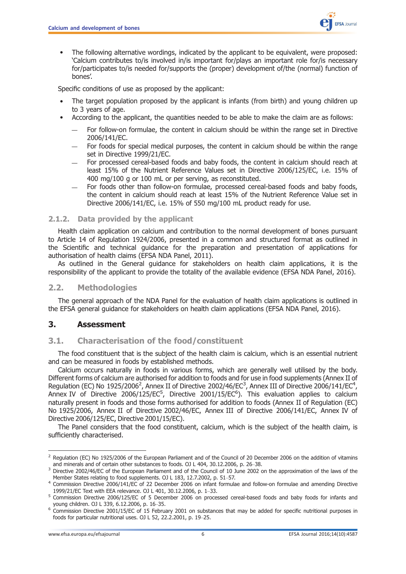

<span id="page-5-0"></span>• The following alternative wordings, indicated by the applicant to be equivalent, were proposed: 'Calcium contributes to/is involved in/is important for/plays an important role for/is necessary for/participates to/is needed for/supports the (proper) development of/the (normal) function of bones'.

Specific conditions of use as proposed by the applicant:

- The target population proposed by the applicant is infants (from birth) and young children up to 3 years of age.
- According to the applicant, the quantities needed to be able to make the claim are as follows:
	- For follow-on formulae, the content in calcium should be within the range set in Directive 2006/141/EC.
	- For foods for special medical purposes, the content in calcium should be within the range set in Directive 1999/21/EC.
	- For processed cereal-based foods and baby foods, the content in calcium should reach at least 15% of the Nutrient Reference Values set in Directive 2006/125/EC, i.e. 15% of 400 mg/100 g or 100 mL or per serving, as reconstituted.
	- For foods other than follow-on formulae, processed cereal-based foods and baby foods, the content in calcium should reach at least 15% of the Nutrient Reference Value set in Directive 2006/141/EC, i.e. 15% of 550 mg/100 mL product ready for use.

#### 2.1.2. Data provided by the applicant

Health claim application on calcium and contribution to the normal development of bones pursuant to Article 14 of Regulation 1924/2006, presented in a common and structured format as outlined in the Scientific and technical guidance for the preparation and presentation of applications for authorisation of health claims (EFSA NDA Panel, 2011).

As outlined in the General guidance for stakeholders on health claim applications, it is the responsibility of the applicant to provide the totality of the available evidence (EFSA NDA Panel, 2016).

#### 2.2. Methodologies

The general approach of the NDA Panel for the evaluation of health claim applications is outlined in the EFSA general guidance for stakeholders on health claim applications (EFSA NDA Panel, 2016).

#### 3. Assessment

#### 3.1. Characterisation of the food/constituent

The food constituent that is the subject of the health claim is calcium, which is an essential nutrient and can be measured in foods by established methods.

Calcium occurs naturally in foods in various forms, which are generally well utilised by the body. Different forms of calcium are authorised for addition to foods and for use in food supplements (Annex II of Regulation (EC) No 1925/2006<sup>2</sup>, Annex II of Directive 2002/46/EC<sup>3</sup>, Annex III of Directive 2006/141/EC<sup>4</sup>, Annex IV of Directive 2006/125/EC<sup>5</sup>, Directive 2001/15/EC<sup>6</sup>). This evaluation applies to calcium naturally present in foods and those forms authorised for addition to foods (Annex II of Regulation (EC) No 1925/2006, Annex II of Directive 2002/46/EC, Annex III of Directive 2006/141/EC, Annex IV of Directive 2006/125/EC, Directive 2001/15/EC).

The Panel considers that the food constituent, calcium, which is the subject of the health claim, is sufficiently characterised.

<sup>&</sup>lt;sup>2</sup> Regulation (EC) No 1925/2006 of the European Parliament and of the Council of 20 December 2006 on the addition of vitamins

and minerals and of certain other substances to foods. OJ L 404, 30.12.2006, p. 26–38. 3 Directive 2002/46/EC of the European Parliament and of the Council of 10 June 2002 on the approximation of the laws of the

Member States relating to food supplements. OJ L 183, 12.7.2002, p. 51–57. 4 Commission Directive 2006/141/EC of 22 December 2006 on infant formulae and follow-on formulae and amending Directive 1999/21/EC Text with EEA relevance. OJ L 401, 30.12.2006, p. 1–33.<br><sup>5</sup> Commission Directive 2006/125/EC of 5 December 2006 on processed cereal-based foods and baby foods for infants and

young children. OJ L 339, 6.12.2006, p. 16–35.<br><sup>6</sup> Commission Directive 2001/15/EC of 15 February 2001 on substances that may be added for specific nutritional purposes in foods for particular nutritional uses. OJ L 52, 22.2.2001, p. 19–25.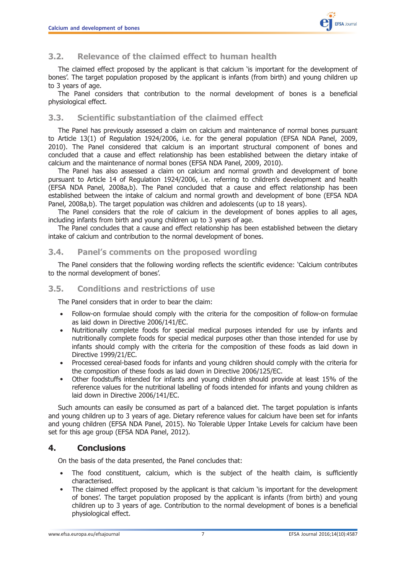

## <span id="page-6-0"></span>3.2. Relevance of the claimed effect to human health

The claimed effect proposed by the applicant is that calcium 'is important for the development of bones'. The target population proposed by the applicant is infants (from birth) and young children up to 3 years of age.

The Panel considers that contribution to the normal development of bones is a beneficial physiological effect.

#### 3.3. Scientific substantiation of the claimed effect

The Panel has previously assessed a claim on calcium and maintenance of normal bones pursuant to Article 13(1) of Regulation 1924/2006, i.e. for the general population (EFSA NDA Panel, 2009, 2010). The Panel considered that calcium is an important structural component of bones and concluded that a cause and effect relationship has been established between the dietary intake of calcium and the maintenance of normal bones (EFSA NDA Panel, 2009, 2010).

The Panel has also assessed a claim on calcium and normal growth and development of bone pursuant to Article 14 of Regulation 1924/2006, i.e. referring to children's development and health (EFSA NDA Panel, 2008a,b). The Panel concluded that a cause and effect relationship has been established between the intake of calcium and normal growth and development of bone (EFSA NDA Panel, 2008a,b). The target population was children and adolescents (up to 18 years).

The Panel considers that the role of calcium in the development of bones applies to all ages, including infants from birth and young children up to 3 years of age.

The Panel concludes that a cause and effect relationship has been established between the dietary intake of calcium and contribution to the normal development of bones.

#### 3.4. Panel's comments on the proposed wording

The Panel considers that the following wording reflects the scientific evidence: 'Calcium contributes to the normal development of bones'.

#### 3.5. Conditions and restrictions of use

The Panel considers that in order to bear the claim:

- Follow-on formulae should comply with the criteria for the composition of follow-on formulae as laid down in Directive 2006/141/EC.
- Nutritionally complete foods for special medical purposes intended for use by infants and nutritionally complete foods for special medical purposes other than those intended for use by infants should comply with the criteria for the composition of these foods as laid down in Directive 1999/21/EC.
- Processed cereal-based foods for infants and young children should comply with the criteria for the composition of these foods as laid down in Directive 2006/125/EC.
- Other foodstuffs intended for infants and young children should provide at least 15% of the reference values for the nutritional labelling of foods intended for infants and young children as laid down in Directive 2006/141/EC.

Such amounts can easily be consumed as part of a balanced diet. The target population is infants and young children up to 3 years of age. Dietary reference values for calcium have been set for infants and young children (EFSA NDA Panel, 2015). No Tolerable Upper Intake Levels for calcium have been set for this age group (EFSA NDA Panel, 2012).

## 4. Conclusions

On the basis of the data presented, the Panel concludes that:

- The food constituent, calcium, which is the subject of the health claim, is sufficiently characterised.
- The claimed effect proposed by the applicant is that calcium 'is important for the development of bones'. The target population proposed by the applicant is infants (from birth) and young children up to 3 years of age. Contribution to the normal development of bones is a beneficial physiological effect.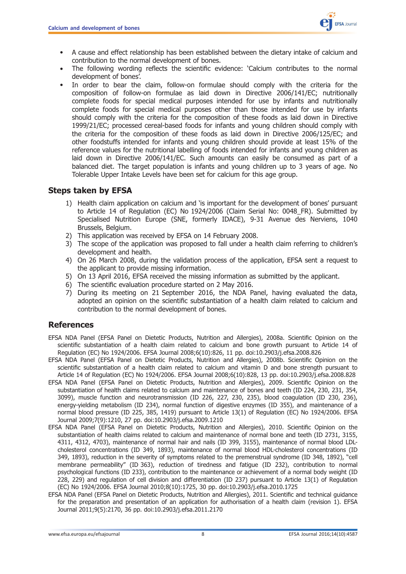

- <span id="page-7-0"></span>• A cause and effect relationship has been established between the dietary intake of calcium and contribution to the normal development of bones.
- The following wording reflects the scientific evidence: 'Calcium contributes to the normal development of bones'.
- In order to bear the claim, follow-on formulae should comply with the criteria for the composition of follow-on formulae as laid down in Directive 2006/141/EC; nutritionally complete foods for special medical purposes intended for use by infants and nutritionally complete foods for special medical purposes other than those intended for use by infants should comply with the criteria for the composition of these foods as laid down in Directive 1999/21/EC; processed cereal-based foods for infants and young children should comply with the criteria for the composition of these foods as laid down in Directive 2006/125/EC; and other foodstuffs intended for infants and young children should provide at least 15% of the reference values for the nutritional labelling of foods intended for infants and young children as laid down in Directive 2006/141/EC. Such amounts can easily be consumed as part of a balanced diet. The target population is infants and young children up to 3 years of age. No Tolerable Upper Intake Levels have been set for calcium for this age group.

## Steps taken by EFSA

- 1) Health claim application on calcium and 'is important for the development of bones' pursuant to Article 14 of Regulation (EC) No 1924/2006 (Claim Serial No: 0048\_FR). Submitted by Specialised Nutrition Europe (SNE, formerly IDACE), 9-31 Avenue des Nerviens, 1040 Brussels, Belgium.
- 2) This application was received by EFSA on 14 February 2008.
- 3) The scope of the application was proposed to fall under a health claim referring to children's development and health.
- 4) On 26 March 2008, during the validation process of the application, EFSA sent a request to the applicant to provide missing information.
- 5) On 13 April 2016, EFSA received the missing information as submitted by the applicant.
- 6) The scientific evaluation procedure started on 2 May 2016.
- 7) During its meeting on 21 September 2016, the NDA Panel, having evaluated the data, adopted an opinion on the scientific substantiation of a health claim related to calcium and contribution to the normal development of bones.

## References

- EFSA NDA Panel (EFSA Panel on Dietetic Products, Nutrition and Allergies), 2008a. Scientific Opinion on the scientific substantiation of a health claim related to calcium and bone growth pursuant to Article 14 of Regulation (EC) No 1924/2006. EFSA Journal 2008;6(10):826, 11 pp. doi[:10.2903/j.efsa.2008.826](http://dx.doi.org/10.2903/j.efsa.2008.826)
- EFSA NDA Panel (EFSA Panel on Dietetic Products, Nutrition and Allergies), 2008b. Scientific Opinion on the scientific substantiation of a health claim related to calcium and vitamin D and bone strength pursuant to Article 14 of Regulation (EC) No 1924/2006. EFSA Journal 2008;6(10):828, 13 pp. doi:[10.2903/j.efsa.2008.828](http://dx.doi.org/10.2903/j.efsa.2008.828)
- EFSA NDA Panel (EFSA Panel on Dietetic Products, Nutrition and Allergies), 2009. Scientific Opinion on the substantiation of health claims related to calcium and maintenance of bones and teeth (ID 224, 230, 231, 354, 3099), muscle function and neurotransmission (ID 226, 227, 230, 235), blood coagulation (ID 230, 236), energy-yielding metabolism (ID 234), normal function of digestive enzymes (ID 355), and maintenance of a normal blood pressure (ID 225, 385, 1419) pursuant to Article 13(1) of Regulation (EC) No 1924/2006. EFSA Journal 2009;7(9):1210, 27 pp. doi[:10.2903/j.efsa.2009.1210](http://dx.doi.org/10.2903/j.efsa.2009.1210)
- EFSA NDA Panel (EFSA Panel on Dietetic Products, Nutrition and Allergies), 2010. Scientific Opinion on the substantiation of health claims related to calcium and maintenance of normal bone and teeth (ID 2731, 3155, 4311, 4312, 4703), maintenance of normal hair and nails (ID 399, 3155), maintenance of normal blood LDLcholesterol concentrations (ID 349, 1893), maintenance of normal blood HDL-cholesterol concentrations (ID 349, 1893), reduction in the severity of symptoms related to the premenstrual syndrome (ID 348, 1892), "cell membrane permeability" (ID 363), reduction of tiredness and fatigue (ID 232), contribution to normal psychological functions (ID 233), contribution to the maintenance or achievement of a normal body weight (ID 228, 229) and regulation of cell division and differentiation (ID 237) pursuant to Article 13(1) of Regulation (EC) No 1924/2006. EFSA Journal 2010;8(10):1725, 30 pp. doi[:10.2903/j.efsa.2010.1725](http://dx.doi.org/10.2903/j.efsa.2010.1725)
- EFSA NDA Panel (EFSA Panel on Dietetic Products, Nutrition and Allergies), 2011. Scientific and technical guidance for the preparation and presentation of an application for authorisation of a health claim (revision 1). EFSA Journal 2011;9(5):2170, 36 pp. doi[:10.2903/j.efsa.2011.2170](http://dx.doi.org/10.2903/j.efsa.2011.2170)